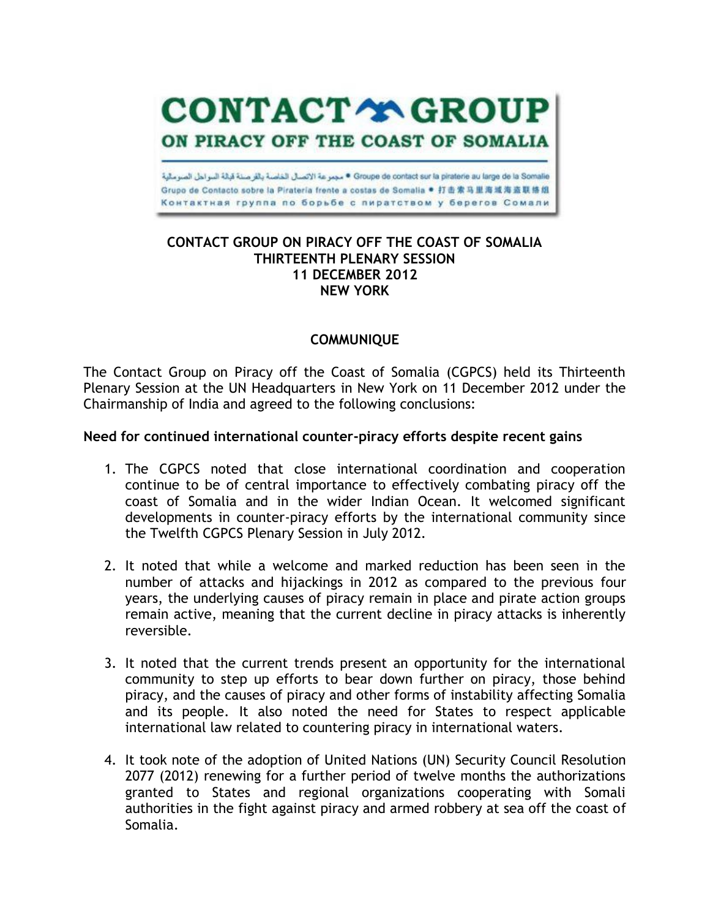Groupe de contact sur la piraterie au large de la Somalie • مجمر عة الاتصال الخاصة بالقر صنة قبالة السواحل الصومالية Grupo de Contacto sobre la Pirateria frente a costas de Somalia ● 打击索马里海域海盗联络组 Контактная группа по борьбе с пиратством у берегов Сомали

**CONTACT YA GROUP** 

ON PIRACY OFF THE COAST OF SOMALIA

#### **CONTACT GROUP ON PIRACY OFF THE COAST OF SOMALIA THIRTEENTH PLENARY SESSION 11 DECEMBER 2012 NEW YORK**

## **COMMUNIQUE**

The Contact Group on Piracy off the Coast of Somalia (CGPCS) held its Thirteenth Plenary Session at the UN Headquarters in New York on 11 December 2012 under the Chairmanship of India and agreed to the following conclusions:

## **Need for continued international counter-piracy efforts despite recent gains**

- 1. The CGPCS noted that close international coordination and cooperation continue to be of central importance to effectively combating piracy off the coast of Somalia and in the wider Indian Ocean. It welcomed significant developments in counter-piracy efforts by the international community since the Twelfth CGPCS Plenary Session in July 2012.
- 2. It noted that while a welcome and marked reduction has been seen in the number of attacks and hijackings in 2012 as compared to the previous four years, the underlying causes of piracy remain in place and pirate action groups remain active, meaning that the current decline in piracy attacks is inherently reversible.
- 3. It noted that the current trends present an opportunity for the international community to step up efforts to bear down further on piracy, those behind piracy, and the causes of piracy and other forms of instability affecting Somalia and its people. It also noted the need for States to respect applicable international law related to countering piracy in international waters.
- 4. It took note of the adoption of United Nations (UN) Security Council Resolution 2077 (2012) renewing for a further period of twelve months the authorizations granted to States and regional organizations cooperating with Somali authorities in the fight against piracy and armed robbery at sea off the coast of Somalia.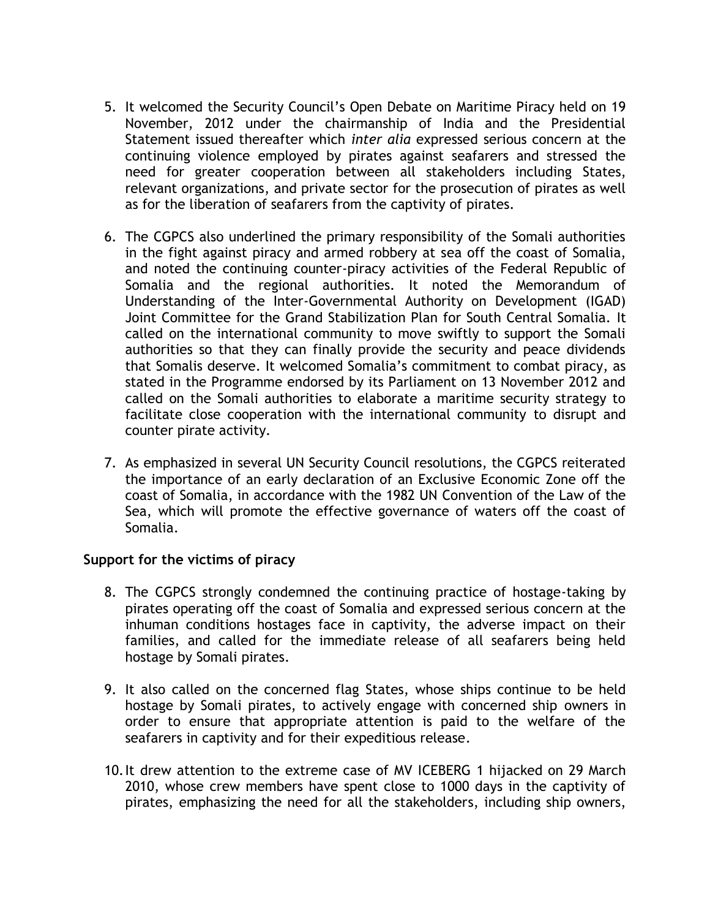- 5. It welcomed the Security Council's Open Debate on Maritime Piracy held on 19 November, 2012 under the chairmanship of India and the Presidential Statement issued thereafter which *inter alia* expressed serious concern at the continuing violence employed by pirates against seafarers and stressed the need for greater cooperation between all stakeholders including States, relevant organizations, and private sector for the prosecution of pirates as well as for the liberation of seafarers from the captivity of pirates.
- 6. The CGPCS also underlined the primary responsibility of the Somali authorities in the fight against piracy and armed robbery at sea off the coast of Somalia, and noted the continuing counter-piracy activities of the Federal Republic of Somalia and the regional authorities. It noted the Memorandum of Understanding of the Inter-Governmental Authority on Development (IGAD) Joint Committee for the Grand Stabilization Plan for South Central Somalia. It called on the international community to move swiftly to support the Somali authorities so that they can finally provide the security and peace dividends that Somalis deserve. It welcomed Somalia's commitment to combat piracy, as stated in the Programme endorsed by its Parliament on 13 November 2012 and called on the Somali authorities to elaborate a maritime security strategy to facilitate close cooperation with the international community to disrupt and counter pirate activity.
- 7. As emphasized in several UN Security Council resolutions, the CGPCS reiterated the importance of an early declaration of an Exclusive Economic Zone off the coast of Somalia, in accordance with the 1982 UN Convention of the Law of the Sea, which will promote the effective governance of waters off the coast of Somalia.

## **Support for the victims of piracy**

- 8. The CGPCS strongly condemned the continuing practice of hostage-taking by pirates operating off the coast of Somalia and expressed serious concern at the inhuman conditions hostages face in captivity, the adverse impact on their families, and called for the immediate release of all seafarers being held hostage by Somali pirates.
- 9. It also called on the concerned flag States, whose ships continue to be held hostage by Somali pirates, to actively engage with concerned ship owners in order to ensure that appropriate attention is paid to the welfare of the seafarers in captivity and for their expeditious release.
- 10.It drew attention to the extreme case of MV ICEBERG 1 hijacked on 29 March 2010, whose crew members have spent close to 1000 days in the captivity of pirates, emphasizing the need for all the stakeholders, including ship owners,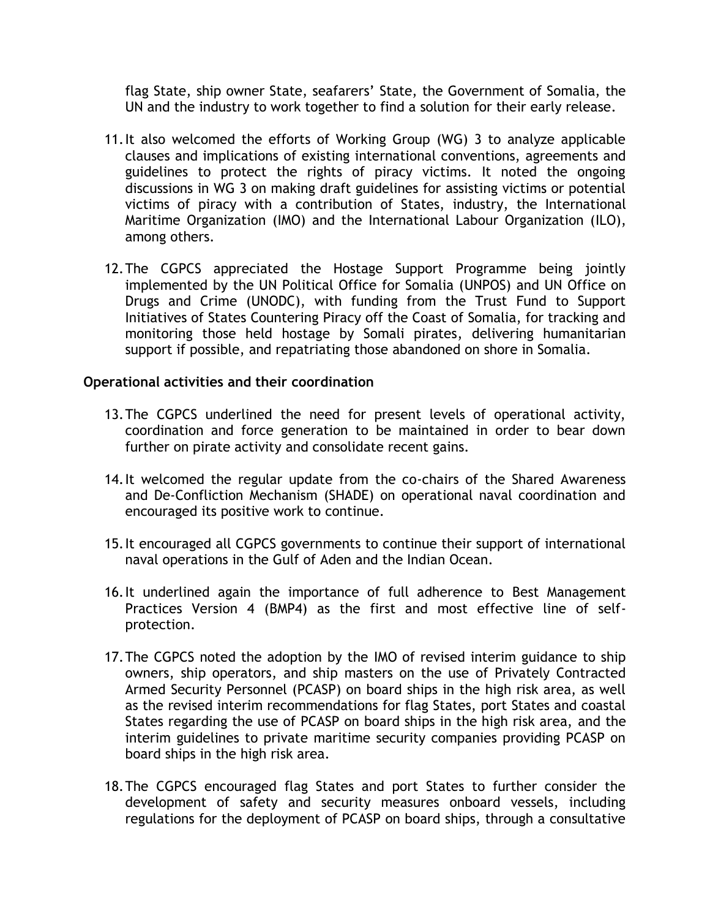flag State, ship owner State, seafarers' State, the Government of Somalia, the UN and the industry to work together to find a solution for their early release.

- 11.It also welcomed the efforts of Working Group (WG) 3 to analyze applicable clauses and implications of existing international conventions, agreements and guidelines to protect the rights of piracy victims. It noted the ongoing discussions in WG 3 on making draft guidelines for assisting victims or potential victims of piracy with a contribution of States, industry, the International Maritime Organization (IMO) and the International Labour Organization (ILO), among others.
- 12.The CGPCS appreciated the Hostage Support Programme being jointly implemented by the UN Political Office for Somalia (UNPOS) and UN Office on Drugs and Crime (UNODC), with funding from the Trust Fund to Support Initiatives of States Countering Piracy off the Coast of Somalia, for tracking and monitoring those held hostage by Somali pirates, delivering humanitarian support if possible, and repatriating those abandoned on shore in Somalia.

## **Operational activities and their coordination**

- 13.The CGPCS underlined the need for present levels of operational activity, coordination and force generation to be maintained in order to bear down further on pirate activity and consolidate recent gains.
- 14.It welcomed the regular update from the co-chairs of the Shared Awareness and De-Confliction Mechanism (SHADE) on operational naval coordination and encouraged its positive work to continue.
- 15.It encouraged all CGPCS governments to continue their support of international naval operations in the Gulf of Aden and the Indian Ocean.
- 16.It underlined again the importance of full adherence to Best Management Practices Version 4 (BMP4) as the first and most effective line of selfprotection.
- 17.The CGPCS noted the adoption by the IMO of revised interim guidance to ship owners, ship operators, and ship masters on the use of Privately Contracted Armed Security Personnel (PCASP) on board ships in the high risk area, as well as the revised interim recommendations for flag States, port States and coastal States regarding the use of PCASP on board ships in the high risk area, and the interim guidelines to private maritime security companies providing PCASP on board ships in the high risk area.
- 18.The CGPCS encouraged flag States and port States to further consider the development of safety and security measures onboard vessels, including regulations for the deployment of PCASP on board ships, through a consultative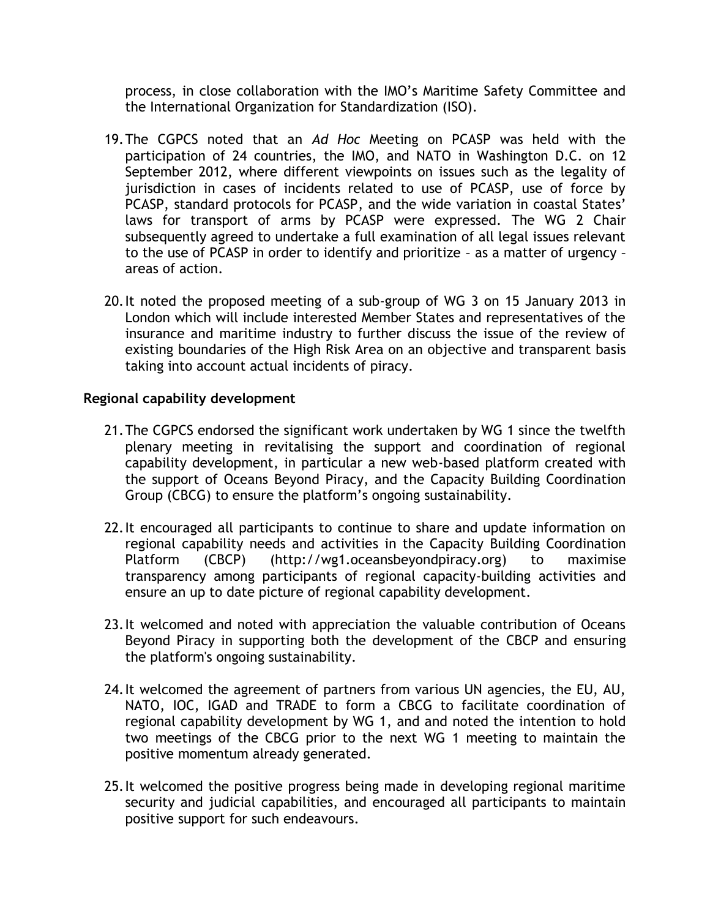process, in close collaboration with the IMO's Maritime Safety Committee and the International Organization for Standardization (ISO).

- 19.The CGPCS noted that an *Ad Hoc* Meeting on PCASP was held with the participation of 24 countries, the IMO, and NATO in Washington D.C. on 12 September 2012, where different viewpoints on issues such as the legality of jurisdiction in cases of incidents related to use of PCASP, use of force by PCASP, standard protocols for PCASP, and the wide variation in coastal States' laws for transport of arms by PCASP were expressed. The WG 2 Chair subsequently agreed to undertake a full examination of all legal issues relevant to the use of PCASP in order to identify and prioritize – as a matter of urgency – areas of action.
- 20.It noted the proposed meeting of a sub-group of WG 3 on 15 January 2013 in London which will include interested Member States and representatives of the insurance and maritime industry to further discuss the issue of the review of existing boundaries of the High Risk Area on an objective and transparent basis taking into account actual incidents of piracy.

# **Regional capability development**

- 21.The CGPCS endorsed the significant work undertaken by WG 1 since the twelfth plenary meeting in revitalising the support and coordination of regional capability development, in particular a new web-based platform created with the support of Oceans Beyond Piracy, and the Capacity Building Coordination Group (CBCG) to ensure the platform's ongoing sustainability.
- 22.It encouraged all participants to continue to share and update information on regional capability needs and activities in the Capacity Building Coordination Platform (CBCP) [\(http://wg1.oceansbeyondpiracy.org\)](http://wg1.oceansbeyondpiracy.org/) to maximise transparency among participants of regional capacity-building activities and ensure an up to date picture of regional capability development.
- 23.It welcomed and noted with appreciation the valuable contribution of Oceans Beyond Piracy in supporting both the development of the CBCP and ensuring the platform's ongoing sustainability.
- 24.It welcomed the agreement of partners from various UN agencies, the EU, AU, NATO, IOC, IGAD and TRADE to form a CBCG to facilitate coordination of regional capability development by WG 1, and and noted the intention to hold two meetings of the CBCG prior to the next WG 1 meeting to maintain the positive momentum already generated.
- 25.It welcomed the positive progress being made in developing regional maritime security and judicial capabilities, and encouraged all participants to maintain positive support for such endeavours.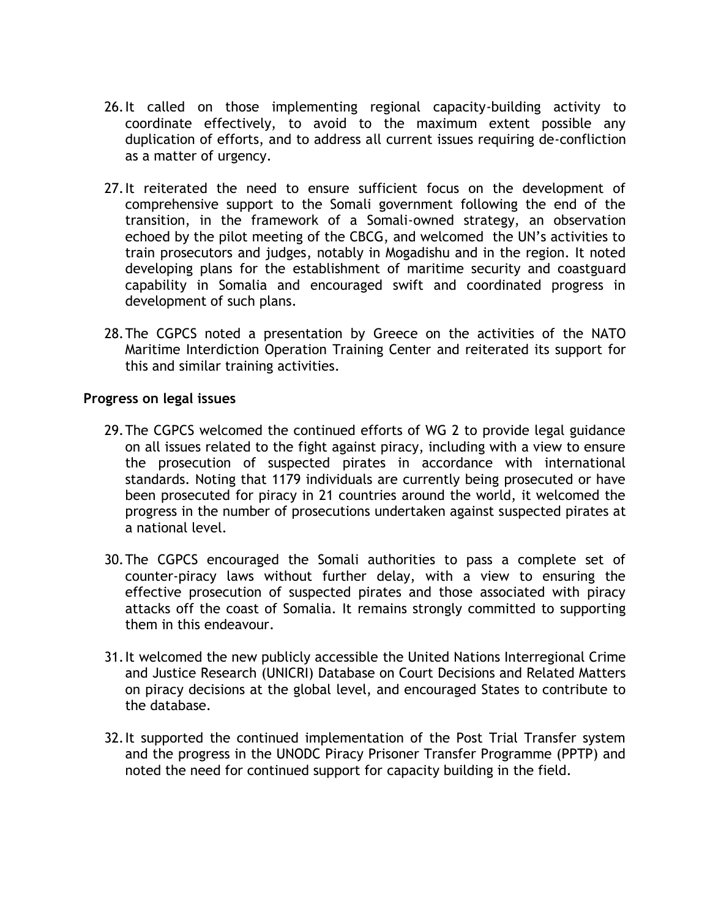- 26.It called on those implementing regional capacity-building activity to coordinate effectively, to avoid to the maximum extent possible any duplication of efforts, and to address all current issues requiring de-confliction as a matter of urgency.
- 27.It reiterated the need to ensure sufficient focus on the development of comprehensive support to the Somali government following the end of the transition, in the framework of a Somali-owned strategy, an observation echoed by the pilot meeting of the CBCG, and welcomed the UN's activities to train prosecutors and judges, notably in Mogadishu and in the region. It noted developing plans for the establishment of maritime security and coastguard capability in Somalia and encouraged swift and coordinated progress in development of such plans.
- 28.The CGPCS noted a presentation by Greece on the activities of the NATO Maritime Interdiction Operation Training Center and reiterated its support for this and similar training activities.

#### **Progress on legal issues**

- 29.The CGPCS welcomed the continued efforts of WG 2 to provide legal guidance on all issues related to the fight against piracy, including with a view to ensure the prosecution of suspected pirates in accordance with international standards. Noting that 1179 individuals are currently being prosecuted or have been prosecuted for piracy in 21 countries around the world, it welcomed the progress in the number of prosecutions undertaken against suspected pirates at a national level.
- 30.The CGPCS encouraged the Somali authorities to pass a complete set of counter-piracy laws without further delay, with a view to ensuring the effective prosecution of suspected pirates and those associated with piracy attacks off the coast of Somalia. It remains strongly committed to supporting them in this endeavour.
- 31.It welcomed the new publicly accessible the United Nations Interregional Crime and Justice Research (UNICRI) Database on Court Decisions and Related Matters on piracy decisions at the global level, and encouraged States to contribute to the database.
- 32.It supported the continued implementation of the Post Trial Transfer system and the progress in the UNODC Piracy Prisoner Transfer Programme (PPTP) and noted the need for continued support for capacity building in the field.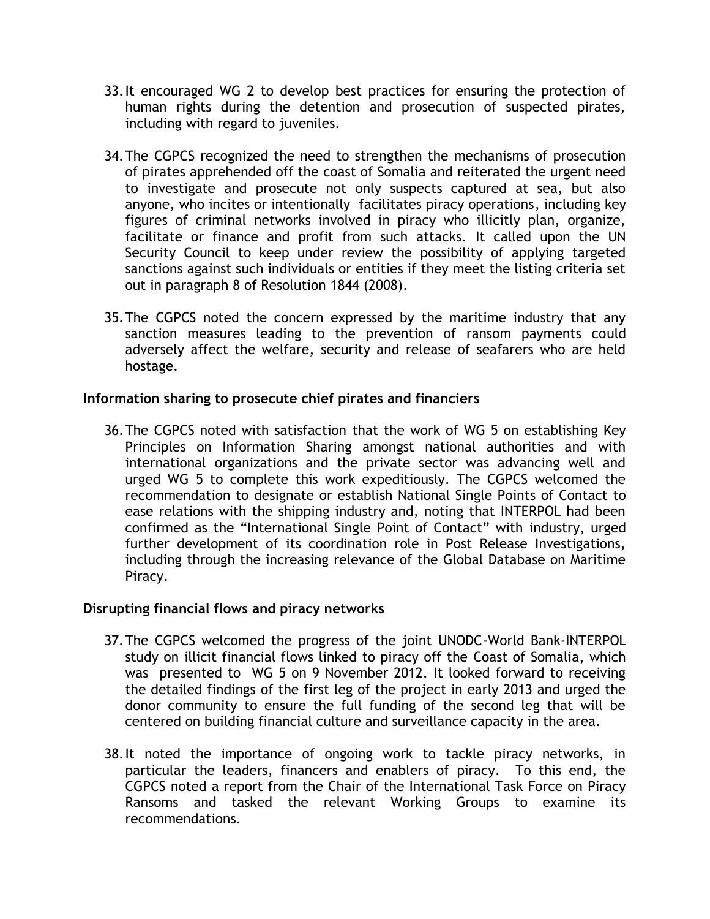- 33.It encouraged WG 2 to develop best practices for ensuring the protection of human rights during the detention and prosecution of suspected pirates, including with regard to juveniles.
- 34.The CGPCS recognized the need to strengthen the mechanisms of prosecution of pirates apprehended off the coast of Somalia and reiterated the urgent need to investigate and prosecute not only suspects captured at sea, but also anyone, who incites or intentionally facilitates piracy operations, including key figures of criminal networks involved in piracy who illicitly plan, organize, facilitate or finance and profit from such attacks. It called upon the UN Security Council to keep under review the possibility of applying targeted sanctions against such individuals or entities if they meet the listing criteria set out in paragraph 8 of Resolution 1844 (2008).
- 35.The CGPCS noted the concern expressed by the maritime industry that any sanction measures leading to the prevention of ransom payments could adversely affect the welfare, security and release of seafarers who are held hostage.

## **Information sharing to prosecute chief pirates and financiers**

36.The CGPCS noted with satisfaction that the work of WG 5 on establishing Key Principles on Information Sharing amongst national authorities and with international organizations and the private sector was advancing well and urged WG 5 to complete this work expeditiously. The CGPCS welcomed the recommendation to designate or establish National Single Points of Contact to ease relations with the shipping industry and, noting that INTERPOL had been confirmed as the "International Single Point of Contact" with industry, urged further development of its coordination role in Post Release Investigations, including through the increasing relevance of the Global Database on Maritime Piracy.

## **Disrupting financial flows and piracy networks**

- 37.The CGPCS welcomed the progress of the joint UNODC-World Bank-INTERPOL study on illicit financial flows linked to piracy off the Coast of Somalia, which was presented to WG 5 on 9 November 2012. It looked forward to receiving the detailed findings of the first leg of the project in early 2013 and urged the donor community to ensure the full funding of the second leg that will be centered on building financial culture and surveillance capacity in the area.
- 38.It noted the importance of ongoing work to tackle piracy networks, in particular the leaders, financers and enablers of piracy. To this end, the CGPCS noted a report from the Chair of the International Task Force on Piracy Ransoms and tasked the relevant Working Groups to examine its recommendations.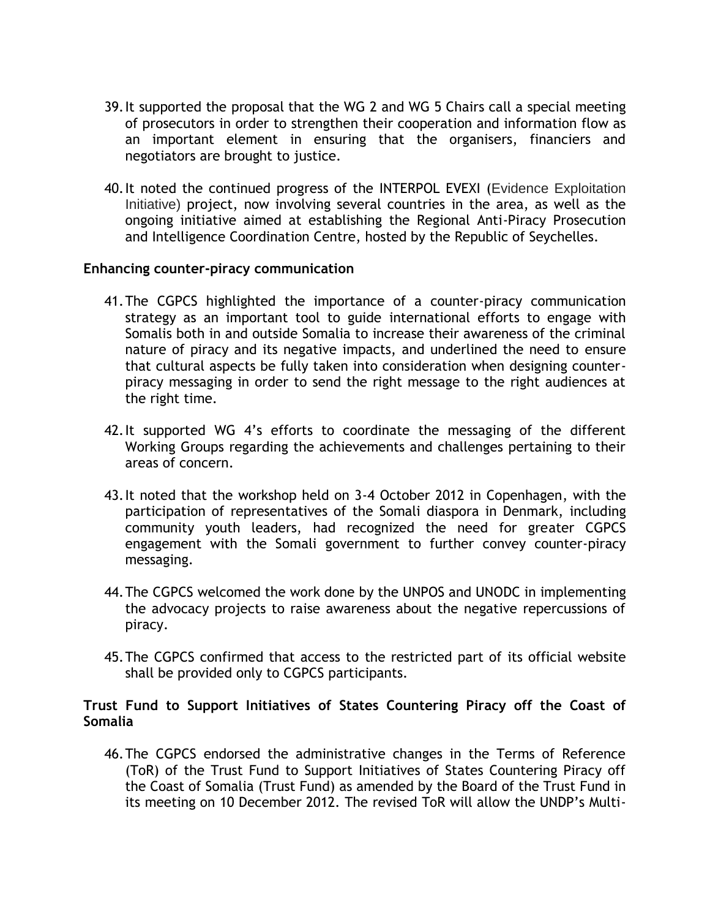- 39.It supported the proposal that the WG 2 and WG 5 Chairs call a special meeting of prosecutors in order to strengthen their cooperation and information flow as an important element in ensuring that the organisers, financiers and negotiators are brought to justice.
- 40.It noted the continued progress of the INTERPOL EVEXI (Evidence Exploitation Initiative) project, now involving several countries in the area, as well as the ongoing initiative aimed at establishing the Regional Anti-Piracy Prosecution and Intelligence Coordination Centre, hosted by the Republic of Seychelles.

#### **Enhancing counter-piracy communication**

- 41.The CGPCS highlighted the importance of a counter-piracy communication strategy as an important tool to guide international efforts to engage with Somalis both in and outside Somalia to increase their awareness of the criminal nature of piracy and its negative impacts, and underlined the need to ensure that cultural aspects be fully taken into consideration when designing counterpiracy messaging in order to send the right message to the right audiences at the right time.
- 42.It supported WG 4's efforts to coordinate the messaging of the different Working Groups regarding the achievements and challenges pertaining to their areas of concern.
- 43.It noted that the workshop held on 3-4 October 2012 in Copenhagen, with the participation of representatives of the Somali diaspora in Denmark, including community youth leaders, had recognized the need for greater CGPCS engagement with the Somali government to further convey counter-piracy messaging.
- 44.The CGPCS welcomed the work done by the UNPOS and UNODC in implementing the advocacy projects to raise awareness about the negative repercussions of piracy.
- 45.The CGPCS confirmed that access to the restricted part of its official website shall be provided only to CGPCS participants.

## **Trust Fund to Support Initiatives of States Countering Piracy off the Coast of Somalia**

46.The CGPCS endorsed the administrative changes in the Terms of Reference (ToR) of the Trust Fund to Support Initiatives of States Countering Piracy off the Coast of Somalia (Trust Fund) as amended by the Board of the Trust Fund in its meeting on 10 December 2012. The revised ToR will allow the UNDP's Multi